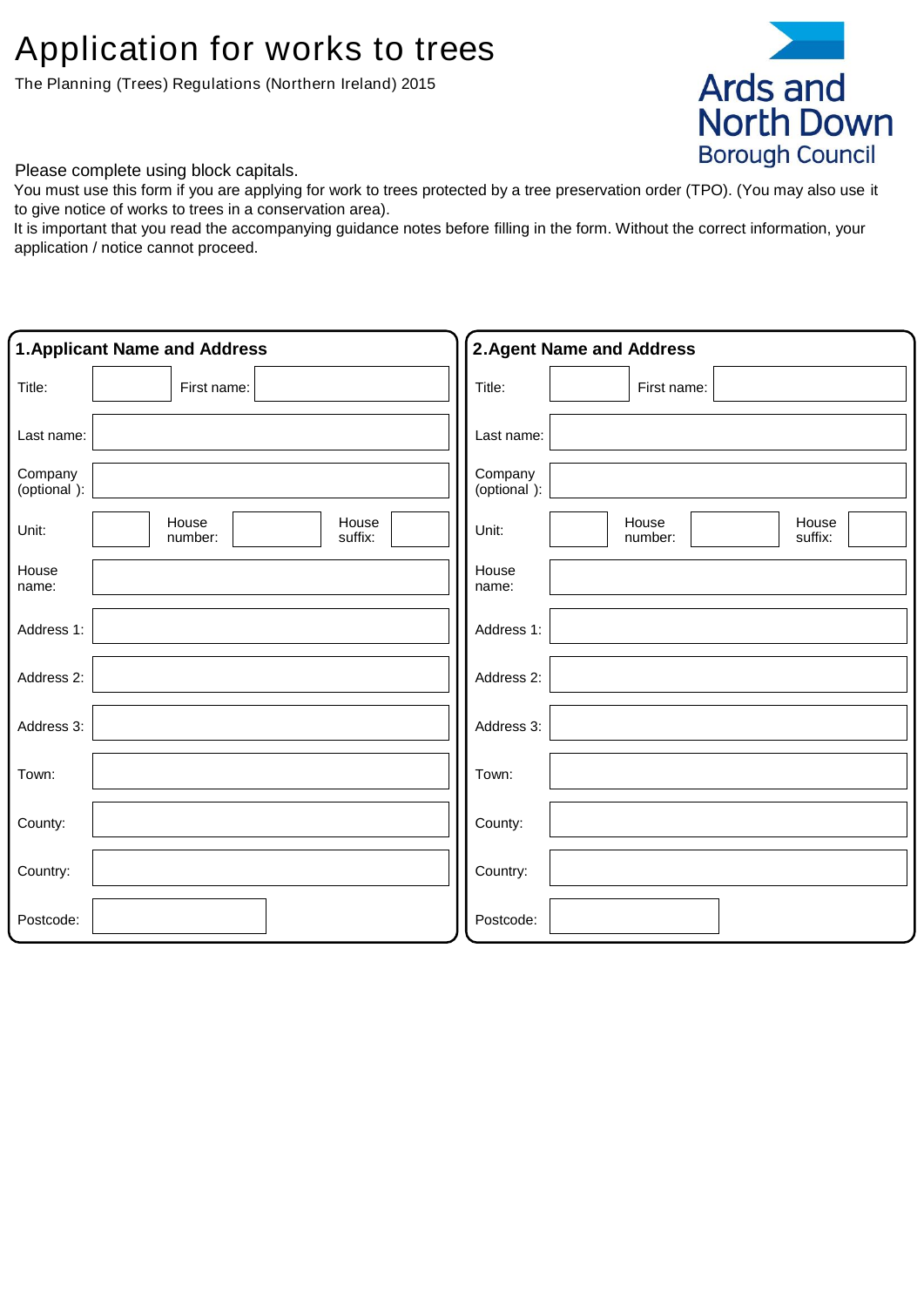# Application for works to trees

The Planning (Trees) Regulations (Northern Ireland) 2015



Please complete using block capitals.

You must use this form if you are applying for work to trees protected by a tree preservation order (TPO). (You may also use it to give notice of works to trees in a conservation area).

It is important that you read the accompanying guidance notes before filling in the form. Without the correct information, your application / notice cannot proceed.

|                        | <b>1. Applicant Name and Address</b> | <b>2. Agent Name and Address</b>              |  |
|------------------------|--------------------------------------|-----------------------------------------------|--|
| Title:                 | First name:                          | Title:<br>First name:                         |  |
| Last name:             |                                      | Last name:                                    |  |
| Company<br>(optional): |                                      | Company<br>(optional):                        |  |
| Unit:                  | House<br>House<br>suffix:<br>number: | House<br>House<br>Unit:<br>suffix:<br>number: |  |
| House<br>name:         |                                      | House<br>name:                                |  |
| Address 1:             |                                      | Address 1:                                    |  |
| Address 2:             |                                      | Address 2:                                    |  |
| Address 3:             |                                      | Address 3:                                    |  |
| Town:                  |                                      | Town:                                         |  |
| County:                |                                      | County:                                       |  |
| Country:               |                                      | Country:                                      |  |
| Postcode:              |                                      | Postcode:                                     |  |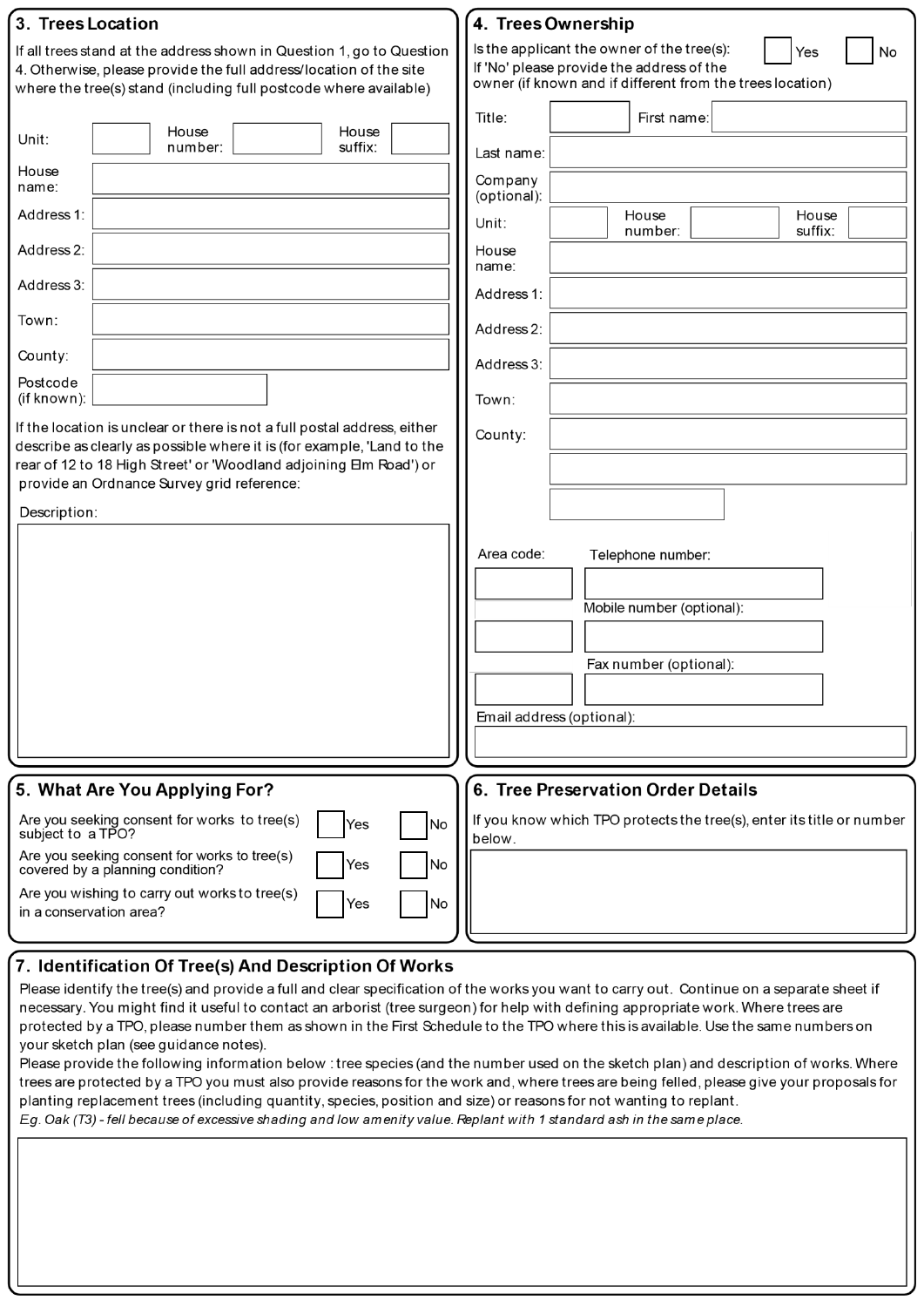| 3. Trees Location                                                                                                                                                                                                                                                                                                                                                                                                                                 | 4. Trees Ownership                                                                                                                                                                                                                                                                                                    |
|---------------------------------------------------------------------------------------------------------------------------------------------------------------------------------------------------------------------------------------------------------------------------------------------------------------------------------------------------------------------------------------------------------------------------------------------------|-----------------------------------------------------------------------------------------------------------------------------------------------------------------------------------------------------------------------------------------------------------------------------------------------------------------------|
| If all trees stand at the address shown in Question 1, go to Question<br>4. Otherwise, please provide the full address/location of the site<br>where the tree(s) stand (including full postcode where available)                                                                                                                                                                                                                                  | Is the applicant the owner of the tree(s):<br>Yes<br>No<br>If 'No' please provide the address of the<br>owner (if known and if different from the trees location)                                                                                                                                                     |
| House<br>House<br>Unit:<br>suffix:<br>number:<br>House<br>name:<br>Address 1:<br>Address 2:<br>Address 3:<br>Town:<br>County:<br>Postcode<br>(if known):<br>If the location is unclear or there is not a full postal address, either<br>describe as clearly as possible where it is (for example, 'Land to the<br>rear of 12 to 18 High Street' or 'Woodland adjoining Em Road') or<br>provide an Ordnance Survey grid reference:<br>Description: | Title:<br>First name:<br>Last name:<br>Company<br>(optional):<br>House<br>House<br>Unit:<br>suffix:<br>number:<br>House<br>name:<br>Address 1:<br>Address 2:<br>Address 3:<br>Town:<br>County:<br>Area code:<br>Telephone number:<br>Mobile number (optional):<br>Fax number (optional):<br>Email address (optional): |
| 5. What Are You Applying For?                                                                                                                                                                                                                                                                                                                                                                                                                     | 6. Tree Preservation Order Details                                                                                                                                                                                                                                                                                    |
| Are you seeking consent for works to tree(s)<br>Yes<br><b>No</b><br>subject to a TPO?<br>Are you seeking consent for works to tree(s)                                                                                                                                                                                                                                                                                                             | If you know which TPO protects the tree(s), enter its title or number<br>below.                                                                                                                                                                                                                                       |
| Yes<br>No<br>covered by a planning condition?<br>Are you wishing to carry out works to tree(s)<br>Yes<br>No<br>in a conservation area?                                                                                                                                                                                                                                                                                                            |                                                                                                                                                                                                                                                                                                                       |

## $\bm{\mathsf{\left}}$  7. Identification Of Tree(s) And Description Of Works

Please identify the tree(s) and provide a full and clear specification of the works you want to carry out. Continue on a separate sheet if necessary. You might find it useful to contact an arborist (tree surgeon) for help with defining appropriate work. Where trees are protected by a TPO, please number them as shown in the First Schedule to the TPO where this is available. Use the same numbers on your sketch plan (see guidance notes).

Please provide the following information below: tree species (and the number used on the sketch plan) and description of works. Where trees are protected by a TPO you must also provide reasons for the work and, where trees are being felled, please give your proposals for planting replacement trees (including quantity, species, position and size) or reasons for not wanting to replant.

Eg. Oak (T3) - fell because of excessive shading and low amenity value. Replant with 1 standard ash in the same place.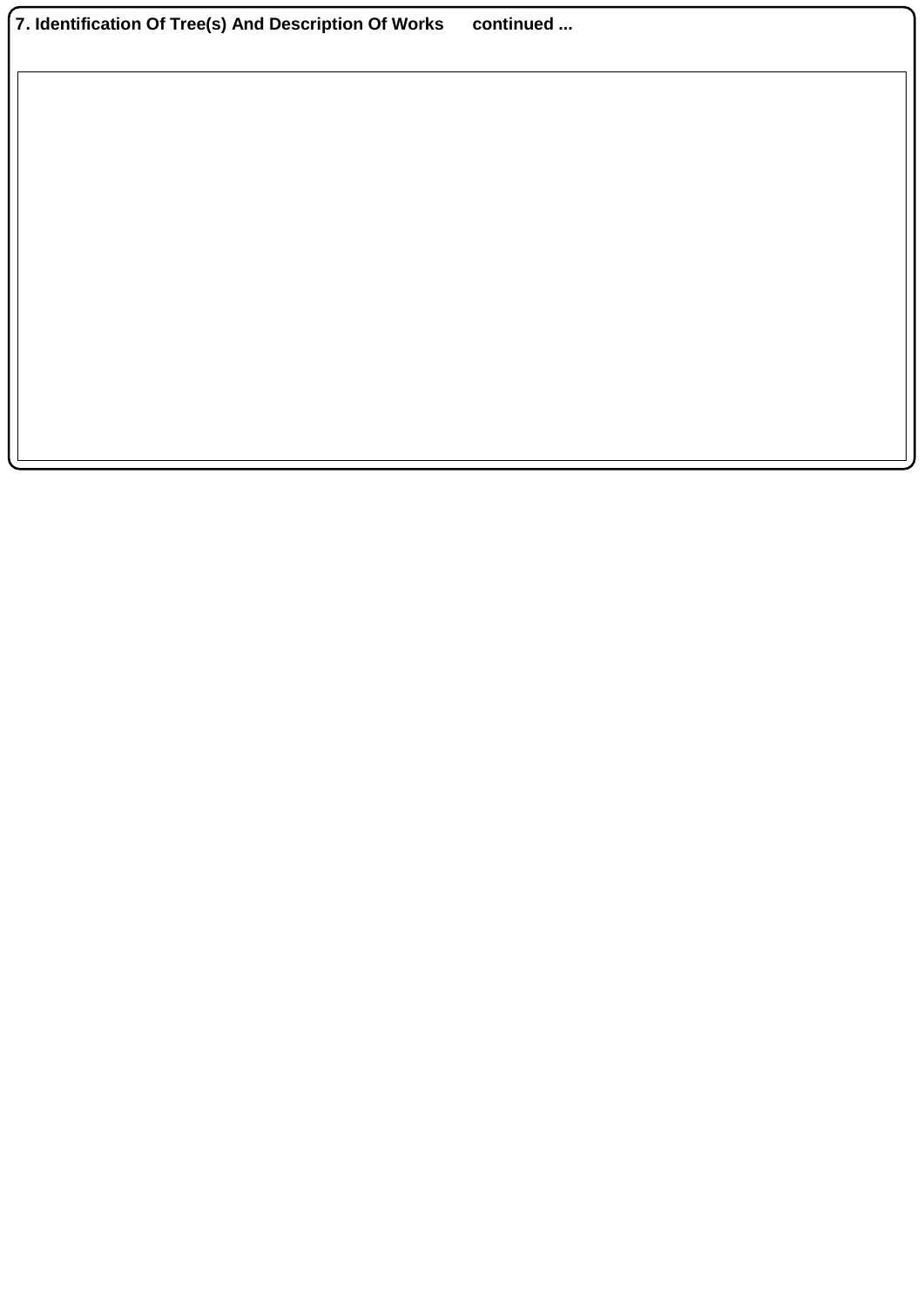| 7. Identification Of Tree(s) And Description Of Works | continued |
|-------------------------------------------------------|-----------|
|-------------------------------------------------------|-----------|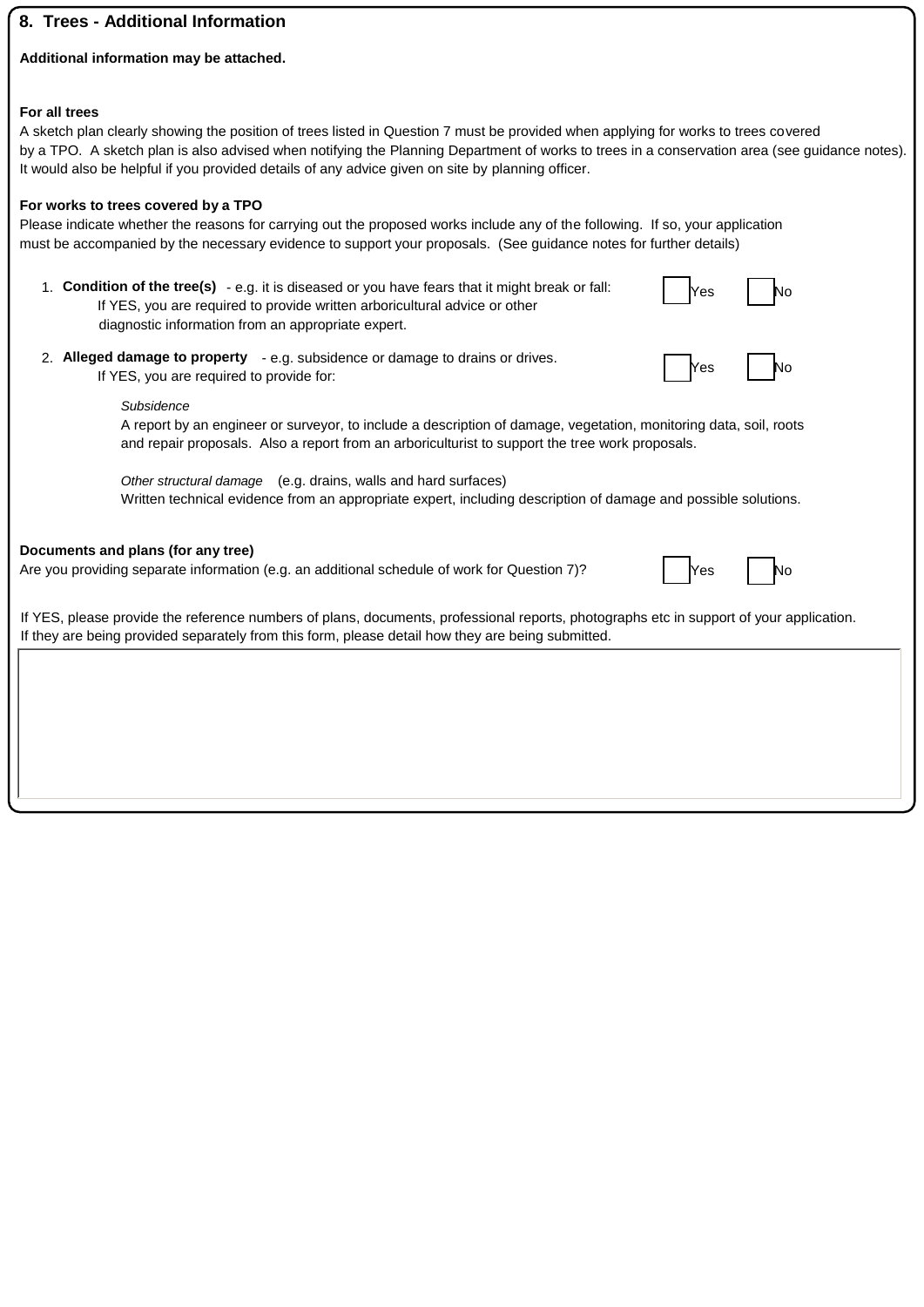## **8. Trees - Additional Information**

#### **Additional information may be attached.**

#### **For all trees**

A sketch plan clearly showing the position of trees listed in Question 7 must be provided when applying for works to trees covered by a TPO. A sketch plan is also advised when notifying the Planning Department of works to trees in a conservation area (see guidance notes). It would also be helpful if you provided details of any advice given on site by planning officer.

### **For works to trees covered by a TPO**

Please indicate whether the reasons for carrying out the proposed works include any of the following. If so, your application must be accompanied by the necessary evidence to support your proposals. (See guidance notes for further details)

| 1. Condition of the tree(s) $-$ e.g. it is diseased or you have fears that it might break or fall: | $\vert$ Yes |  |
|----------------------------------------------------------------------------------------------------|-------------|--|
| If YES, you are required to provide written arboricultural advice or other                         |             |  |
| diagnostic information from an appropriate expert.                                                 |             |  |

2. **Alleged damage to property** - e.g. subsidence or damage to drains or drives. If YES, you are required to provide for:

| Ƙes | N∩ |
|-----|----|

Yes I No

#### *Subsidence*

A report by an engineer or surveyor, to include a description of damage, vegetation, monitoring data, soil, roots and repair proposals. Also a report from an arboriculturist to support the tree work proposals.

*Other structural damage* (e.g. drains, walls and hard surfaces) Written technical evidence from an appropriate expert, including description of damage and possible solutions.

#### **Documents and plans (for any tree)**

Are you providing separate information (e.g. an additional schedule of work for Question 7)?

If YES, please provide the reference numbers of plans, documents, professional reports, photographs etc in support of your application. If they are being provided separately from this form, please detail how they are being submitted.